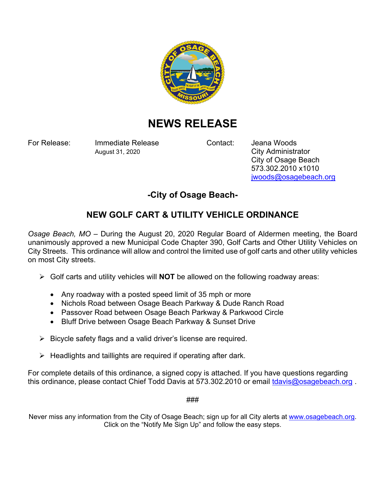

## **NEWS RELEASE**

For Release: Immediate Release Contact: Jeana Woods August 31, 2020 City Administrator

 City of Osage Beach 573.302.2010 x1010 jwoods@osagebeach.org

## **-City of Osage Beach-**

## **NEW GOLF CART & UTILITY VEHICLE ORDINANCE**

*Osage Beach, MO* – During the August 20, 2020 Regular Board of Aldermen meeting, the Board unanimously approved a new Municipal Code Chapter 390, Golf Carts and Other Utility Vehicles on City Streets. This ordinance will allow and control the limited use of golf carts and other utility vehicles on most City streets.

- Golf carts and utility vehicles will **NOT** be allowed on the following roadway areas:
	- Any roadway with a posted speed limit of 35 mph or more
	- Nichols Road between Osage Beach Parkway & Dude Ranch Road
	- Passover Road between Osage Beach Parkway & Parkwood Circle
	- Bluff Drive between Osage Beach Parkway & Sunset Drive
- $\triangleright$  Bicycle safety flags and a valid driver's license are required.
- $\triangleright$  Headlights and taillights are required if operating after dark.

For complete details of this ordinance, a signed copy is attached. If you have questions regarding this ordinance, please contact Chief Todd Davis at 573.302.2010 or email tdavis@osagebeach.org.

###

Never miss any information from the City of Osage Beach; sign up for all City alerts at www.osagebeach.org. Click on the "Notify Me Sign Up" and follow the easy steps.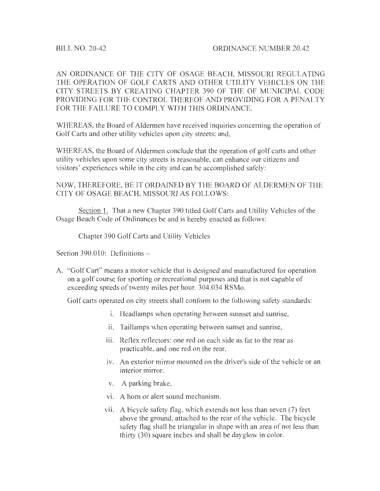AN ORDINANCE OF THE CITY OF OSAGE BEACH, MISSOURI REGULATING THE OPERATION OF GOLF CARTS AND OTHER UTILITY VEHICLES ON THE CITY STREETS BY CREATING CHAPTER 390 OF THE OF MUNICIPAL CODE PROVIDING FOR THE CONTROL THEREOF AND PROVIDING FOR A PENALTY FOR THE FAILURE TO COMPLY WITH THIS ORDINANCE.

WHEREAS, the Board of Aldermen have received inquiries concerning the operation of Golf Carts and other utility vehicles upon city streets; and,

WHEREAS, the Board of Aldermen conclude that the operation of golf carts and other utility vehicles upon some city streets is reasonable, can enhance our citizens and visitors' experiences while in the city and can be accomplished safely:

NOW, THEREFORE, BE IT ORDAINED BY THE BOARD OF ALDERMEN OF THE CITY OF OSAGE BEACH, MISSOURI AS FOLLOWS:

Section 1. That a new Chapter 390 titled Golf Carts and Utility Vehicles of the Osage Beach Code of Ordinances be and is hereby enacted as follows:

Chapter 390 Golf Carts and Utility Vehicles

Section 390.010: Definitions -

A. "Golf Cart" means a motor vehicle that is designed and manufactured for operation on a golf course for sporting or recreational purposes and that is not capable of exceeding speeds of twenty miles per hour. 304.034 RSMo.

Golf carts operated on city streets shall conform to the following safety standards:

- i. Headlamps when operating between susnset and sunrise,
- ii. Taillamps when operating between sunset and sunrise,
- iii. Reflex reflectors: one red on each side as far to the rear as practicable, and one red on the rear,
- iv. An exterior mirror mounted on the driver's side of the vehicle or an interior mirror.
- v. A parking brake,
- vi. A horn or alert sound mechanism.
- vii. A bicycle safety flag, which extends not less than seven  $(7)$  feet above the ground, attached to the rear of the vehicle. The bicycle safety flag shall be triangular in shape with an area of not less than thirty (30) square inches and shall be dayglow in color.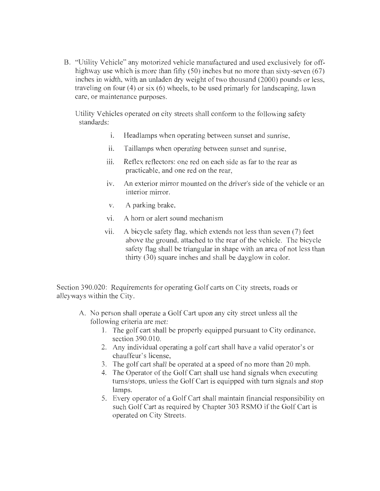B. "Utility Vehicle" any motorized vehicle manufactured and used exclusively for offhighway use which is more than fifty (50) inches but no more than sixty-seven (67) inches in width, with an unladen dry weight of two thousand (2000) pounds or less, traveling on four  $(4)$  or six  $(6)$  wheels, to be used primarly for landscaping, lawn care, or maintenance purposes.

Utility Vehicles operated on city streets shall conform to the following safety standards:

- i. Headlamps when operating between sunset and sunrise,
- ii. Taillamps when operating between sunset and sunrise,
- iii. Reflex reflectors: one red on each side as far to the rear as practicable, and one red on the rear,
- 1v. An exterior mirror mounted on the driver's side of the vehicle or an interior mirror.
- v. A parking brake,
- vi. A horn or alert sound mechanism
- vii. A bicycle safety flag, which extends not less than seven  $(7)$  feet above the ground, attached to the rear of the vehicle. The bicycle safety flag shall be triangular in shape with an area of not less than thirty (30) square inches and shall be dayglow in color.

Section 390.020: Requirements for operating Golf carts on City streets, roads or alleyways within the City.

- A. No person shall operate a Golf Cart upon any city street unless all the following criteria are met:
	- 1. The golf cart shall be properly equipped pursuant to City ordinance, section 390.010.
	- 2. Any individual operating a golf cart shall have a valid operator's or chauffeur's license,
	- 3. The golf cart shall be operated at a speed of no more than 20 mph.
	- 4. The Operator of the Golf Cart shall use hand signals when executing turns/stops, unless the Golf Cart is equipped with turn signals and stop lamps.
	- 5. Every operator of a Golf Cart shall maintain financial responsibility on such Golf Cart as required by Chapter 303 RSMO if the Golf Cart is operated on City Streets.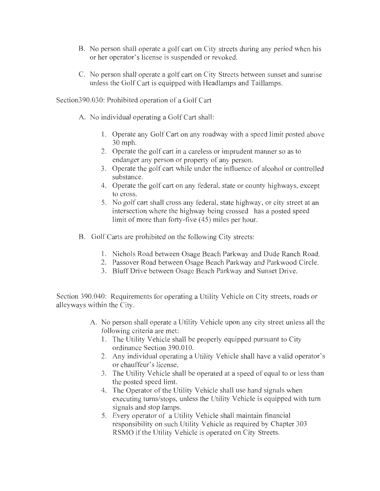- B. No person shall operate a golf cart on City streets during any period when his or her operator's license is suspended or revoked.
- C. No person shall operate a golf cart on City Streets between sunset and sunrise unless the Golf Cart is equipped with Headlamps and Taillamps.

Section390.030: Prohibited operation of a Golf Cart

- A. No individual operating a Golf Cart shall:
	- 1. Operate any Golf Cart on any roadway with a speed limit posted above 30 mph.
	- 2. Operate the golf cart in a careless or imprudent manner so as to endanger any person or property of any person.
	- 3. Operate the golf cart while under the influence of alcohol or controlled substance.
	- 4. Operate the golf cart on any federal, state or county highways, except to cross.
	- 5. No golf cart shall cross any federal, state highway, or city street at an intersection where the highway being crossed has a posted speed limit of more than forty-five (45) miles per hour.
- B. Golf Carts are prohibited on the following City streets:
	- 1. Nichols Road between Osage Beach Parkway and Dude Ranch Road.
	- 2. Passover Road between Osage Beach Parkway and Parkwood Circle.
	- 3. Bluff Drive between Osage Beach Parkway and Sunset Drive.

Section 390.040: Requirements for operating a Utility Vehicle on City streets, roads or alleyways within the City.

- A. No person shall operate a Utility Vehicle upon any city street unless all the following criteria are met:
	- 1. The Utility Vehicle shall be properly equipped pursuant to City ordinance Section 390.010.
	- 2. Any individual operating a Utility Vehicle shall have a valid operator's or chauffeur's license,
	- 3. The Utility Vehicle shall be operated at a speed of equal to or less than the posted speed limt.
	- 4. The Operator of the Utility Vehicle shall use hand signals when executing turns/stops, unless the Utility Vehicle is equipped with tum signals and stop lamps.
	- 5. Every operator of a Utility Vehicle shall maintain financial responsibility on such Utility Vehicle as required by Chapter 303 **RSMO** if the Utility Vehicle is operated on City Streets.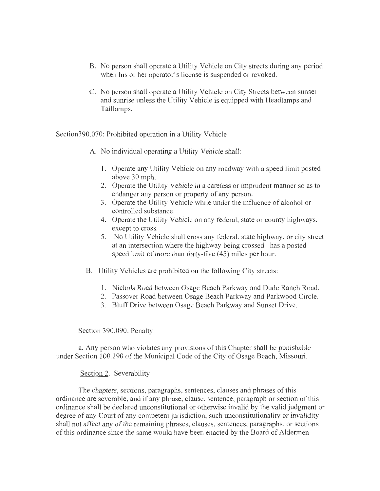- B. No person shall operate a Utility Vehicle on City streets during any period when his or her operator's license is suspended or revoked.
- C. No person shall operate a Utility Vehicle on City Streets between sunset and sunrise unless the Utility Vehicle is equipped with Headlamps and Taillamps.

Section390.070: Prohibited operation in a Utility Vehicle

A. No individual operating a Utility Vehicle shall:

- 1. Operate any Utility Vehicle on any roadway with a speed limit posted above 30 mph.
- 2. Operate the Utility Vehicle in a careless or imprudent manner so as to endanger any person or property of any person.
- 3. Operate the Utility Vehicle while under the influence of alcohol or controlled substance.
- 4. Operate the Utility Vehicle on any federal, state or county highways, except to cross.
- 5. No Utility Vehicle shall cross any federal, state highway, or city street at an intersection where the highway being crossed has a posted speed limit of more than forty-five (45) miles per hour.
- B. Utility Vehicles are prohibited on the following City streets:
	- 1. Nichols Road between Osage Beach Parkway and Dude Ranch Road.
	- 2. Passover Road between Osage Beach Parkway and Parkwood Circle.
	- 3. Bluff Drive between Osage Beach Parkway and Sunset Drive.

Section 390.090: Penalty

a. Any person who violates any provisions of this Chapter shall be punishable under Section 100.190 of the Municipal Code of the City of Osage Beach, Missouri.

## Section 2. Severability

The chapters, sections, paragraphs, sentences, clauses and phrases of this ordinance are severable, and if any phrase, clause, sentence, paragraph or section of this ordinance shall be declared unconstitutional or otherwise invalid by the valid judgment or degree of any Court of any competent jurisdiction, such unconstitutionality or invalidity shall not affect any of the remaining phrases, clauses, sentences, paragraphs, or sections of this ordinance since the same would have been enacted by the Board of Aldermen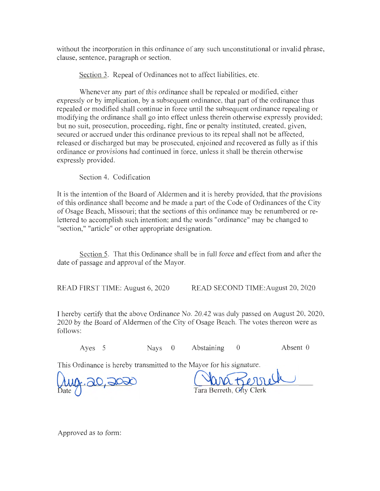without the incorporation in this ordinance of any such unconstitutional or invalid phrase, clause, sentence, paragraph or section.

Section 3. Repeal of Ordinances not to affect liabilities, etc.

Whenever any part of this ordinance shall be repealed or modified, either expressly or by implication, by a subsequent ordinance, that part of the ordinance thus repealed or modified shall continue in force until the subsequent ordinance repealing or modifying the ordinance shall go into effect unless therein otherwise expressly provided; but no suit, prosecution, proceeding, right, fine or penalty instituted, created, given, secured or accrued under this ordinance previous to its repeal shall not be affected, released or discharged but may be prosecuted, enjoined and recovered as fully as if this ordinance or provisions had continued in force, unless it shall be therein otherwise expressly provided.

Section 4. Codification

It is the intention of the Board of Aldermen and it is hereby provided, that the provisions of this ordinance shall become and be made a part of the Code of Ordinances of the City of Osage Beach, Missouri; that the sections of this ordinance may be renumbered or relettered to accomplish such intention; and the words "ordinance" may be changed to "section," "article" or other appropriate designation.

Section 5. That this Ordinance shall be in full force and effect from and after the date of passage and approval of the Mayor.

READ FIRST TIME: August 6, 2020 READ SECOND TIME:August 20, 2020

I hereby certify that the above Ordinance No. 20.42 was duly passed on August 20, 2020, 2020 by the Board of Aldermen of the City of Osage Beach. The votes thereon were as follows:

Ayes 5 Nays 0 Abstaining 0 Absent 0

This Ordinance is hereby transmitted to the Mayor for his signature.

 $\int_{\text{Date}}$ 20,20<del>,</del>

Tara Berreth, City Clerk

Approved as to form: